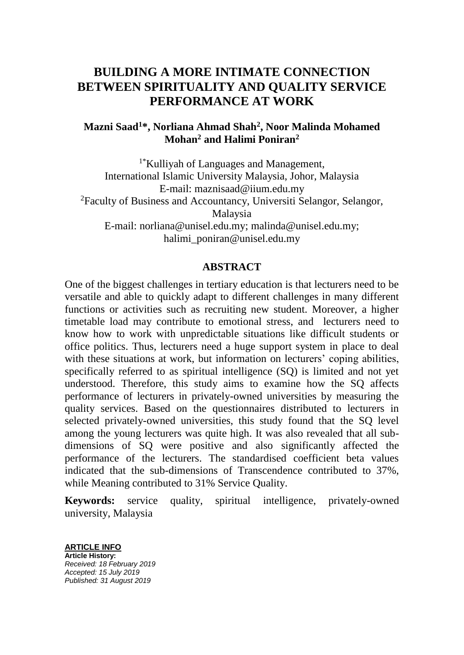# **BUILDING A MORE INTIMATE CONNECTION BETWEEN SPIRITUALITY AND QUALITY SERVICE PERFORMANCE AT WORK**

# **Mazni Saad<sup>1</sup>\*, Norliana Ahmad Shah<sup>2</sup> , Noor Malinda Mohamed Mohan<sup>2</sup> and Halimi Poniran<sup>2</sup>**

<sup>1\*</sup>Kulliyah of Languages and Management, International Islamic University Malaysia, Johor, Malaysia E-mail: maznisaad@iium.edu.my <sup>2</sup>Faculty of Business and Accountancy, Universiti Selangor, Selangor, Malaysia E-mail: norliana@unisel.edu.my; malinda@unisel.edu.my; halimi\_poniran@unisel.edu.my

#### **ABSTRACT**

One of the biggest challenges in tertiary education is that lecturers need to be versatile and able to quickly adapt to different challenges in many different functions or activities such as recruiting new student. Moreover, a higher timetable load may contribute to emotional stress, and lecturers need to know how to work with unpredictable situations like difficult students or office politics. Thus, lecturers need a huge support system in place to deal with these situations at work, but information on lecturers' coping abilities, specifically referred to as spiritual intelligence (SQ) is limited and not yet understood. Therefore, this study aims to examine how the SQ affects performance of lecturers in privately-owned universities by measuring the quality services. Based on the questionnaires distributed to lecturers in selected privately-owned universities, this study found that the SQ level among the young lecturers was quite high. It was also revealed that all subdimensions of SQ were positive and also significantly affected the performance of the lecturers. The standardised coefficient beta values indicated that the sub-dimensions of Transcendence contributed to 37%, while Meaning contributed to 31% Service Quality.

**Keywords:** service quality, spiritual intelligence, privately-owned university, Malaysia

**ARTICLE INFO Article History:** *Received: 18 February 2019 Accepted: 15 July 2019 Published: 31 August 2019*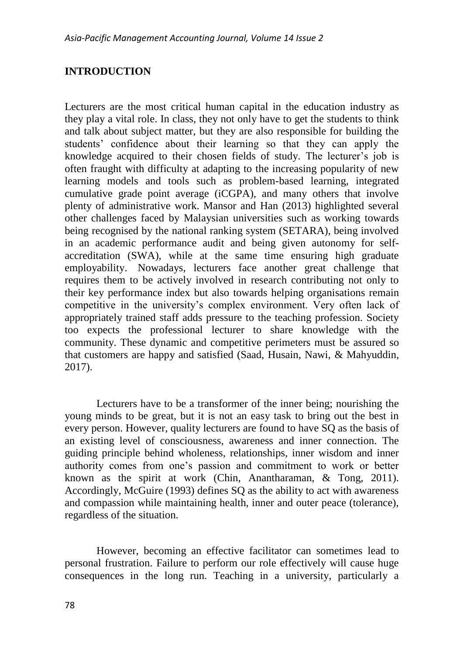## **INTRODUCTION**

Lecturers are the most critical human capital in the education industry as they play a vital role. In class, they not only have to get the students to think and talk about subject matter, but they are also responsible for building the students' confidence about their learning so that they can apply the knowledge acquired to their chosen fields of study. The lecturer's job is often fraught with difficulty at adapting to the increasing popularity of new learning models and tools such as problem-based learning, integrated cumulative grade point average (iCGPA), and many others that involve plenty of administrative work. Mansor and Han (2013) highlighted several other challenges faced by Malaysian universities such as working towards being recognised by the national ranking system (SETARA), being involved in an academic performance audit and being given autonomy for selfaccreditation (SWA), while at the same time ensuring high graduate employability. Nowadays, lecturers face another great challenge that requires them to be actively involved in research contributing not only to their key performance index but also towards helping organisations remain competitive in the university's complex environment. Very often lack of appropriately trained staff adds pressure to the teaching profession. Society too expects the professional lecturer to share knowledge with the community. These dynamic and competitive perimeters must be assured so that customers are happy and satisfied (Saad, Husain, Nawi, & Mahyuddin, 2017).

Lecturers have to be a transformer of the inner being; nourishing the young minds to be great, but it is not an easy task to bring out the best in every person. However, quality lecturers are found to have SQ as the basis of an existing level of consciousness, awareness and inner connection. The guiding principle behind wholeness, relationships, inner wisdom and inner authority comes from one's passion and commitment to work or better known as the spirit at work (Chin, Anantharaman, & Tong, 2011). Accordingly, McGuire (1993) defines SQ as the ability to act with awareness and compassion while maintaining health, inner and outer peace (tolerance), regardless of the situation.

However, becoming an effective facilitator can sometimes lead to personal frustration. Failure to perform our role effectively will cause huge consequences in the long run. Teaching in a university, particularly a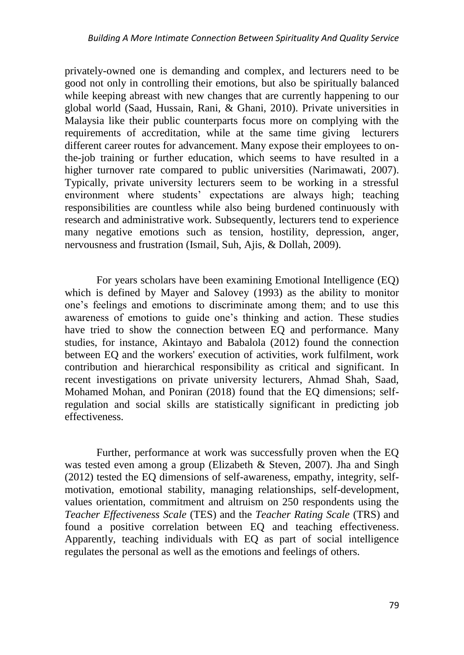privately-owned one is demanding and complex, and lecturers need to be good not only in controlling their emotions, but also be spiritually balanced while keeping abreast with new changes that are currently happening to our global world (Saad, Hussain, Rani, & Ghani, 2010). Private universities in Malaysia like their public counterparts focus more on complying with the requirements of accreditation, while at the same time giving lecturers different career routes for advancement. Many expose their employees to onthe-job training or further education, which seems to have resulted in a higher turnover rate compared to public universities (Narimawati, 2007). Typically, private university lecturers seem to be working in a stressful environment where students' expectations are always high; teaching responsibilities are countless while also being burdened continuously with research and administrative work. Subsequently, lecturers tend to experience many negative emotions such as tension, hostility, depression, anger, nervousness and frustration (Ismail, Suh, Ajis, & Dollah, 2009).

For years scholars have been examining Emotional Intelligence (EQ) which is defined by Mayer and Salovey (1993) as the ability to monitor one's feelings and emotions to discriminate among them; and to use this awareness of emotions to guide one's thinking and action. These studies have tried to show the connection between EQ and performance. Many studies, for instance, Akintayo and Babalola (2012) found the connection between EQ and the workers' execution of activities, work fulfilment, work contribution and hierarchical responsibility as critical and significant. In recent investigations on private university lecturers, Ahmad Shah, Saad, Mohamed Mohan, and Poniran (2018) found that the EQ dimensions; selfregulation and social skills are statistically significant in predicting job effectiveness.

Further, performance at work was successfully proven when the EQ was tested even among a group (Elizabeth & Steven, 2007). Jha and Singh (2012) tested the EQ dimensions of self-awareness, empathy, integrity, selfmotivation, emotional stability, managing relationships, self-development, values orientation, commitment and altruism on 250 respondents using the *Teacher Effectiveness Scale* (TES) and the *Teacher Rating Scale* (TRS) and found a positive correlation between EQ and teaching effectiveness. Apparently, teaching individuals with EQ as part of social intelligence regulates the personal as well as the emotions and feelings of others.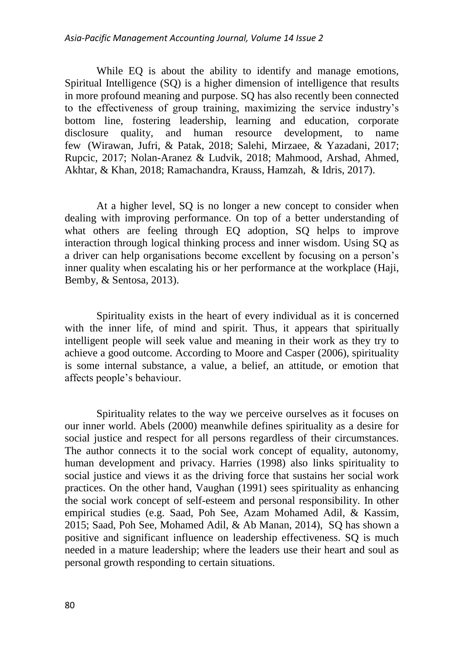While EQ is about the ability to identify and manage emotions, Spiritual Intelligence (SQ) is a higher dimension of intelligence that results in more profound meaning and purpose. SQ has also recently been connected to the effectiveness of group training, maximizing the service industry's bottom line, fostering leadership, learning and education, corporate disclosure quality, and human resource development, to name few (Wirawan, Jufri, & Patak, 2018; Salehi, Mirzaee, & Yazadani, 2017; Rupcic, 2017; Nolan-Aranez & Ludvik, 2018; Mahmood, Arshad, Ahmed, Akhtar, & Khan, 2018; Ramachandra, Krauss, Hamzah, & Idris, 2017).

At a higher level, SQ is no longer a new concept to consider when dealing with improving performance. On top of a better understanding of what others are feeling through EQ adoption, SQ helps to improve interaction through logical thinking process and inner wisdom. Using SQ as a driver can help organisations become excellent by focusing on a person's inner quality when escalating his or her performance at the workplace (Haji, Bemby, & Sentosa, 2013).

Spirituality exists in the heart of every individual as it is concerned with the inner life, of mind and spirit. Thus, it appears that spiritually intelligent people will seek value and meaning in their work as they try to achieve a good outcome. According to Moore and Casper (2006), spirituality is some internal substance, a value, a belief, an attitude, or emotion that affects people's behaviour.

Spirituality relates to the way we perceive ourselves as it focuses on our inner world. Abels (2000) meanwhile defines spirituality as a desire for social justice and respect for all persons regardless of their circumstances. The author connects it to the social work concept of equality, autonomy, human development and privacy. Harries (1998) also links spirituality to social justice and views it as the driving force that sustains her social work practices. On the other hand, Vaughan (1991) sees spirituality as enhancing the social work concept of self-esteem and personal responsibility. In other empirical studies (e.g. Saad, Poh See, Azam Mohamed Adil, & Kassim, 2015; Saad, Poh See, Mohamed Adil, & Ab Manan, 2014), SQ has shown a positive and significant influence on leadership effectiveness. SQ is much needed in a mature leadership; where the leaders use their heart and soul as personal growth responding to certain situations.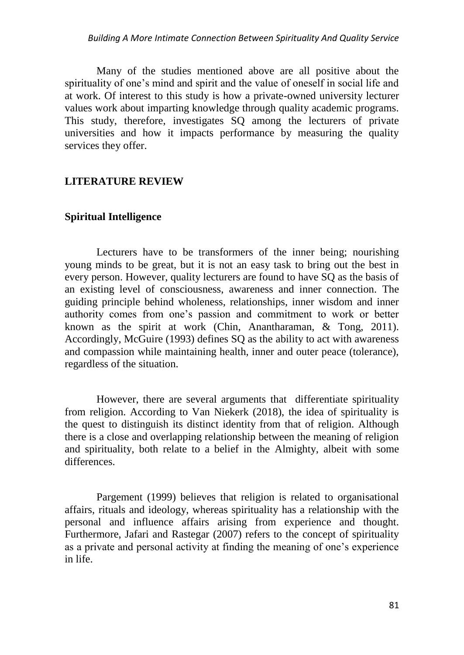Many of the studies mentioned above are all positive about the spirituality of one's mind and spirit and the value of oneself in social life and at work. Of interest to this study is how a private-owned university lecturer values work about imparting knowledge through quality academic programs. This study, therefore, investigates SQ among the lecturers of private universities and how it impacts performance by measuring the quality services they offer.

## **LITERATURE REVIEW**

## **Spiritual Intelligence**

Lecturers have to be transformers of the inner being; nourishing young minds to be great, but it is not an easy task to bring out the best in every person. However, quality lecturers are found to have SQ as the basis of an existing level of consciousness, awareness and inner connection. The guiding principle behind wholeness, relationships, inner wisdom and inner authority comes from one's passion and commitment to work or better known as the spirit at work (Chin, Anantharaman, & Tong, 2011). Accordingly, McGuire (1993) defines SQ as the ability to act with awareness and compassion while maintaining health, inner and outer peace (tolerance), regardless of the situation.

However, there are several arguments that differentiate spirituality from religion. According to Van Niekerk (2018), the idea of spirituality is the quest to distinguish its distinct identity from that of religion. Although there is a close and overlapping relationship between the meaning of religion and spirituality, both relate to a belief in the Almighty, albeit with some differences.

Pargement (1999) believes that religion is related to organisational affairs, rituals and ideology, whereas spirituality has a relationship with the personal and influence affairs arising from experience and thought. Furthermore, Jafari and Rastegar (2007) refers to the concept of spirituality as a private and personal activity at finding the meaning of one's experience in life.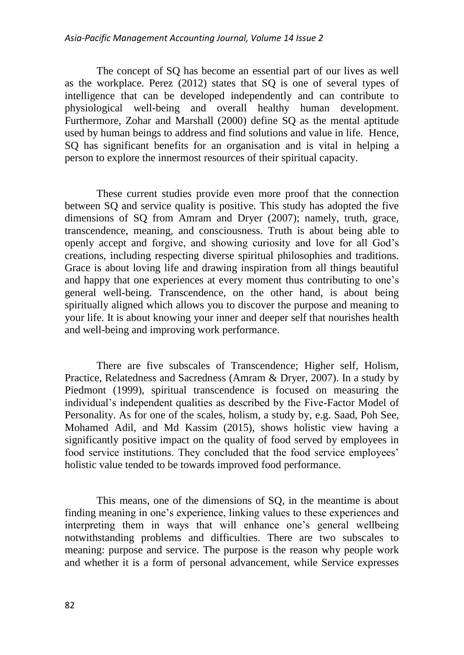The concept of SQ has become an essential part of our lives as well as the workplace. Perez (2012) states that SQ is one of several types of intelligence that can be developed independently and can contribute to physiological well-being and overall healthy human development. Furthermore, Zohar and Marshall (2000) define SQ as the mental aptitude used by human beings to address and find solutions and value in life. Hence, SQ has significant benefits for an organisation and is vital in helping a person to explore the innermost resources of their spiritual capacity.

These current studies provide even more proof that the connection between SQ and service quality is positive. This study has adopted the five dimensions of SQ from Amram and Dryer (2007); namely, truth, grace, transcendence, meaning, and consciousness. Truth is about being able to openly accept and forgive, and showing curiosity and love for all God's creations, including respecting diverse spiritual philosophies and traditions. Grace is about loving life and drawing inspiration from all things beautiful and happy that one experiences at every moment thus contributing to one's general well-being. Transcendence, on the other hand, is about being spiritually aligned which allows you to discover the purpose and meaning to your life. It is about knowing your inner and deeper self that nourishes health and well-being and improving work performance.

There are five subscales of Transcendence; Higher self, Holism, Practice, Relatedness and Sacredness (Amram & Dryer, 2007). In a study by Piedmont (1999), spiritual transcendence is focused on measuring the individual's independent qualities as described by the Five-Factor Model of Personality. As for one of the scales, holism, a study by, e.g. Saad, Poh See, Mohamed Adil, and Md Kassim (2015), shows holistic view having a significantly positive impact on the quality of food served by employees in food service institutions. They concluded that the food service employees' holistic value tended to be towards improved food performance.

This means, one of the dimensions of SQ, in the meantime is about finding meaning in one's experience, linking values to these experiences and interpreting them in ways that will enhance one's general wellbeing notwithstanding problems and difficulties. There are two subscales to meaning: purpose and service. The purpose is the reason why people work and whether it is a form of personal advancement, while Service expresses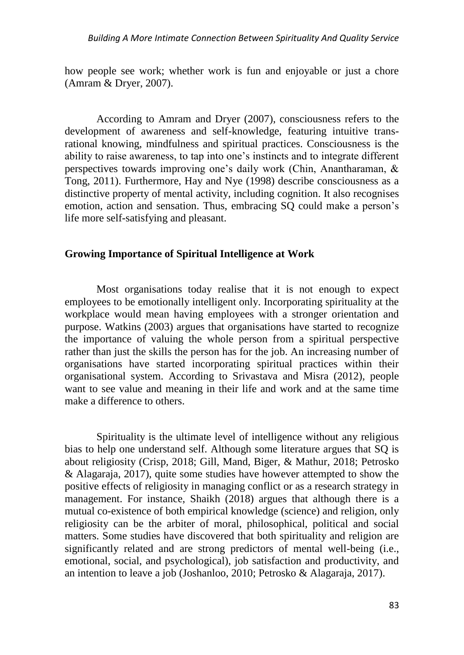how people see work; whether work is fun and enjoyable or just a chore (Amram & Dryer, 2007).

According to Amram and Dryer (2007), consciousness refers to the development of awareness and self-knowledge, featuring intuitive transrational knowing, mindfulness and spiritual practices. Consciousness is the ability to raise awareness, to tap into one's instincts and to integrate different perspectives towards improving one's daily work (Chin, Anantharaman, & Tong, 2011). Furthermore, Hay and Nye (1998) describe consciousness as a distinctive property of mental activity, including cognition. It also recognises emotion, action and sensation. Thus, embracing SQ could make a person's life more self-satisfying and pleasant.

## **Growing Importance of Spiritual Intelligence at Work**

Most organisations today realise that it is not enough to expect employees to be emotionally intelligent only. Incorporating spirituality at the workplace would mean having employees with a stronger orientation and purpose. Watkins (2003) argues that organisations have started to recognize the importance of valuing the whole person from a spiritual perspective rather than just the skills the person has for the job. An increasing number of organisations have started incorporating spiritual practices within their organisational system. According to Srivastava and Misra (2012), people want to see value and meaning in their life and work and at the same time make a difference to others.

Spirituality is the ultimate level of intelligence without any religious bias to help one understand self. Although some literature argues that SQ is about religiosity (Crisp, 2018; Gill, Mand, Biger, & Mathur, 2018; Petrosko & Alagaraja, 2017), quite some studies have however attempted to show the positive effects of religiosity in managing conflict or as a research strategy in management. For instance, Shaikh (2018) argues that although there is a mutual co-existence of both empirical knowledge (science) and religion, only religiosity can be the arbiter of moral, philosophical, political and social matters. Some studies have discovered that both spirituality and religion are significantly related and are strong predictors of mental well-being (i.e., emotional, social, and psychological), job satisfaction and productivity, and an intention to leave a job (Joshanloo, 2010; Petrosko & Alagaraja, 2017).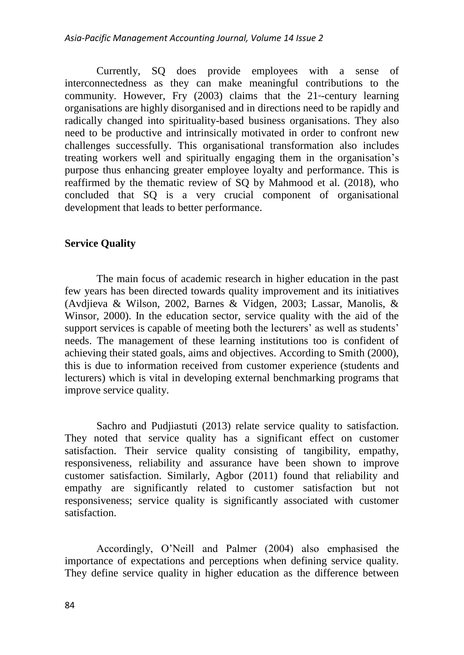Currently, SQ does provide employees with a sense of interconnectedness as they can make meaningful contributions to the community. However, Fry  $(2003)$  claims that the 21<sup>s-century learning</sup> organisations are highly disorganised and in directions need to be rapidly and radically changed into spirituality-based business organisations. They also need to be productive and intrinsically motivated in order to confront new challenges successfully. This organisational transformation also includes treating workers well and spiritually engaging them in the organisation's purpose thus enhancing greater employee loyalty and performance. This is reaffirmed by the thematic review of SQ by Mahmood et al. (2018), who concluded that SQ is a very crucial component of organisational development that leads to better performance.

# **Service Quality**

The main focus of academic research in higher education in the past few years has been directed towards quality improvement and its initiatives (Avdjieva & Wilson, 2002, Barnes & Vidgen, 2003; Lassar, Manolis, & Winsor, 2000). In the education sector, service quality with the aid of the support services is capable of meeting both the lecturers' as well as students' needs. The management of these learning institutions too is confident of achieving their stated goals, aims and objectives. According to Smith (2000), this is due to information received from customer experience (students and lecturers) which is vital in developing external benchmarking programs that improve service quality.

Sachro and Pudjiastuti (2013) relate service quality to satisfaction. They noted that service quality has a significant effect on customer satisfaction. Their service quality consisting of tangibility, empathy, responsiveness, reliability and assurance have been shown to improve customer satisfaction. Similarly, Agbor (2011) found that reliability and empathy are significantly related to customer satisfaction but not responsiveness; service quality is significantly associated with customer satisfaction.

Accordingly, O'Neill and Palmer (2004) also emphasised the importance of expectations and perceptions when defining service quality. They define service quality in higher education as the difference between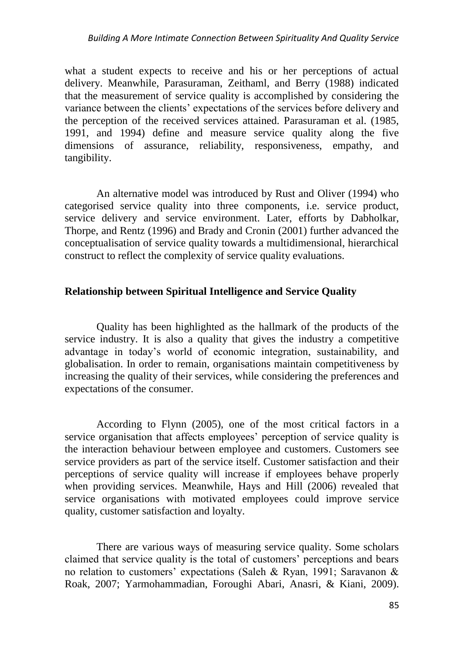what a student expects to receive and his or her perceptions of actual delivery. Meanwhile, Parasuraman, Zeithaml, and Berry (1988) indicated that the measurement of service quality is accomplished by considering the variance between the clients' expectations of the services before delivery and the perception of the received services attained. Parasuraman et al. (1985, 1991, and 1994) define and measure service quality along the five dimensions of assurance, reliability, responsiveness, empathy, and tangibility.

An alternative model was introduced by Rust and Oliver (1994) who categorised service quality into three components, i.e. service product, service delivery and service environment. Later, efforts by Dabholkar, Thorpe, and Rentz (1996) and Brady and Cronin (2001) further advanced the conceptualisation of service quality towards a multidimensional, hierarchical construct to reflect the complexity of service quality evaluations.

## **Relationship between Spiritual Intelligence and Service Quality**

Quality has been highlighted as the hallmark of the products of the service industry. It is also a quality that gives the industry a competitive advantage in today's world of economic integration, sustainability, and globalisation. In order to remain, organisations maintain competitiveness by increasing the quality of their services, while considering the preferences and expectations of the consumer.

According to Flynn (2005), one of the most critical factors in a service organisation that affects employees' perception of service quality is the interaction behaviour between employee and customers. Customers see service providers as part of the service itself. Customer satisfaction and their perceptions of service quality will increase if employees behave properly when providing services. Meanwhile, Hays and Hill (2006) revealed that service organisations with motivated employees could improve service quality, customer satisfaction and loyalty.

There are various ways of measuring service quality. Some scholars claimed that service quality is the total of customers' perceptions and bears no relation to customers' expectations (Saleh & Ryan, 1991; Saravanon & Roak, 2007; Yarmohammadian, Foroughi Abari, Anasri, & Kiani, 2009).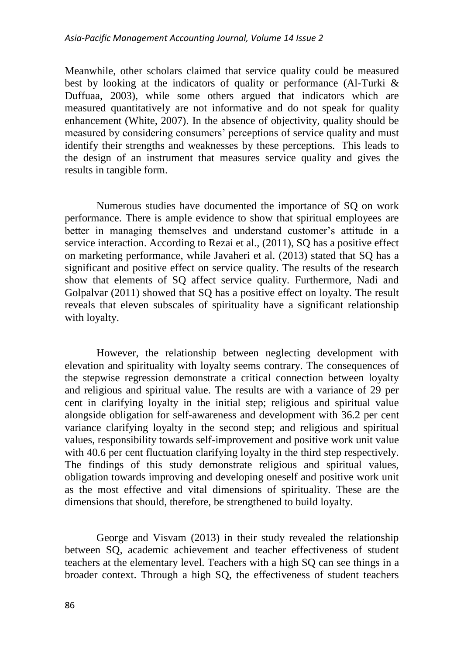Meanwhile, other scholars claimed that service quality could be measured best by looking at the indicators of quality or performance (Al-Turki & Duffuaa, 2003), while some others argued that indicators which are measured quantitatively are not informative and do not speak for quality enhancement (White, 2007). In the absence of objectivity, quality should be measured by considering consumers' perceptions of service quality and must identify their strengths and weaknesses by these perceptions. This leads to the design of an instrument that measures service quality and gives the results in tangible form.

Numerous studies have documented the importance of SQ on work performance. There is ample evidence to show that spiritual employees are better in managing themselves and understand customer's attitude in a service interaction. According to Rezai et al., (2011), SQ has a positive effect on marketing performance, while Javaheri et al. (2013) stated that SQ has a significant and positive effect on service quality. The results of the research show that elements of SQ affect service quality. Furthermore, Nadi and Golpalvar (2011) showed that SQ has a positive effect on loyalty. The result reveals that eleven subscales of spirituality have a significant relationship with loyalty.

However, the relationship between neglecting development with elevation and spirituality with loyalty seems contrary. The consequences of the stepwise regression demonstrate a critical connection between loyalty and religious and spiritual value. The results are with a variance of 29 per cent in clarifying loyalty in the initial step; religious and spiritual value alongside obligation for self-awareness and development with 36.2 per cent variance clarifying loyalty in the second step; and religious and spiritual values, responsibility towards self-improvement and positive work unit value with 40.6 per cent fluctuation clarifying loyalty in the third step respectively. The findings of this study demonstrate religious and spiritual values, obligation towards improving and developing oneself and positive work unit as the most effective and vital dimensions of spirituality. These are the dimensions that should, therefore, be strengthened to build loyalty.

George and Visvam (2013) in their study revealed the relationship between SQ, academic achievement and teacher effectiveness of student teachers at the elementary level. Teachers with a high SQ can see things in a broader context. Through a high SQ, the effectiveness of student teachers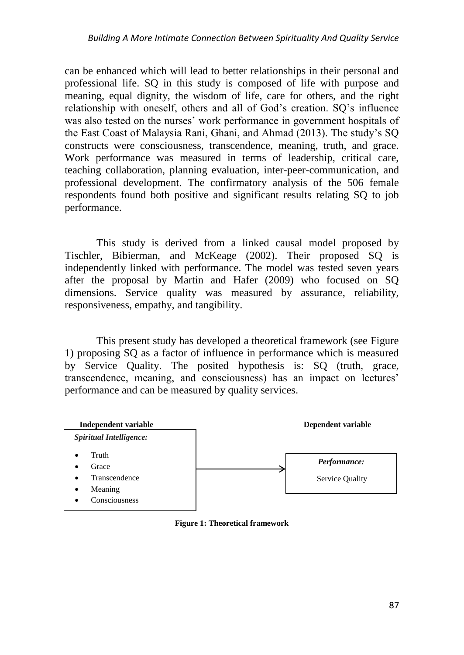can be enhanced which will lead to better relationships in their personal and professional life. SQ in this study is composed of life with purpose and meaning, equal dignity, the wisdom of life, care for others, and the right relationship with oneself, others and all of God's creation. SQ's influence was also tested on the nurses' work performance in government hospitals of the East Coast of Malaysia Rani, Ghani, and Ahmad (2013). The study's SQ constructs were consciousness, transcendence, meaning, truth, and grace. Work performance was measured in terms of leadership, critical care, teaching collaboration, planning evaluation, inter-peer-communication, and professional development. The confirmatory analysis of the 506 female respondents found both positive and significant results relating SQ to job performance.

This study is derived from a linked causal model proposed by Tischler, Bibierman, and McKeage (2002). Their proposed SQ is independently linked with performance. The model was tested seven years after the proposal by Martin and Hafer (2009) who focused on SQ dimensions. Service quality was measured by assurance, reliability, responsiveness, empathy, and tangibility.

This present study has developed a theoretical framework (see Figure 1) proposing SQ as a factor of influence in performance which is measured by Service Quality. The posited hypothesis is: SQ (truth, grace, transcendence, meaning, and consciousness) has an impact on lectures' performance and can be measured by quality services.



**Figure 1: Theoretical framework**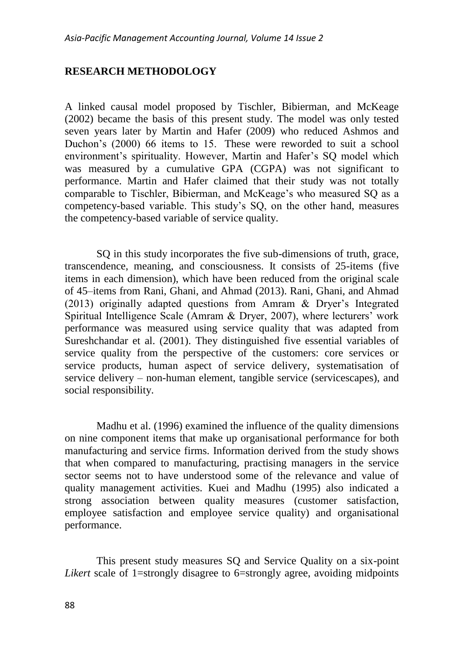# **RESEARCH METHODOLOGY**

A linked causal model proposed by Tischler, Bibierman, and McKeage (2002) became the basis of this present study. The model was only tested seven years later by Martin and Hafer (2009) who reduced Ashmos and Duchon's (2000) 66 items to 15. These were reworded to suit a school environment's spirituality. However, Martin and Hafer's SQ model which was measured by a cumulative GPA (CGPA) was not significant to performance. Martin and Hafer claimed that their study was not totally comparable to Tischler, Bibierman, and McKeage's who measured SQ as a competency-based variable. This study's SQ, on the other hand, measures the competency-based variable of service quality.

SQ in this study incorporates the five sub-dimensions of truth, grace, transcendence, meaning, and consciousness. It consists of 25-items (five items in each dimension), which have been reduced from the original scale of 45–items from Rani, Ghani, and Ahmad (2013). Rani, Ghani, and Ahmad (2013) originally adapted questions from Amram & Dryer's Integrated Spiritual Intelligence Scale (Amram & Dryer, 2007), where lecturers' work performance was measured using service quality that was adapted from Sureshchandar et al. (2001). They distinguished five essential variables of service quality from the perspective of the customers: core services or service products, human aspect of service delivery, systematisation of service delivery – non-human element, tangible service (servicescapes), and social responsibility.

Madhu et al. (1996) examined the influence of the quality dimensions on nine component items that make up organisational performance for both manufacturing and service firms. Information derived from the study shows that when compared to manufacturing, practising managers in the service sector seems not to have understood some of the relevance and value of quality management activities. Kuei and Madhu (1995) also indicated a strong association between quality measures (customer satisfaction, employee satisfaction and employee service quality) and organisational performance.

This present study measures SQ and Service Quality on a six-point *Likert* scale of 1=strongly disagree to 6=strongly agree, avoiding midpoints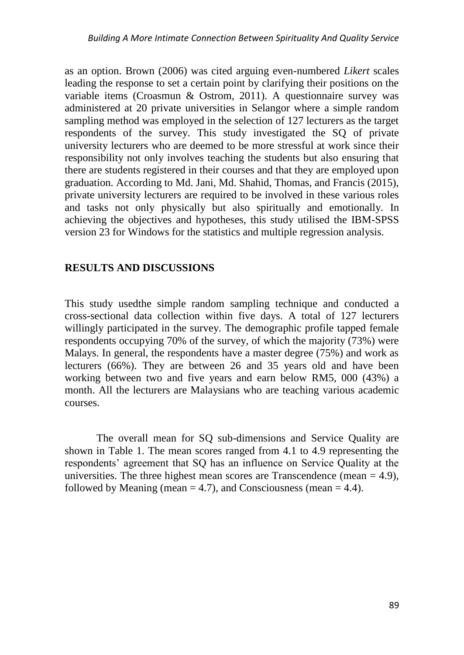as an option. Brown (2006) was cited arguing even-numbered *Likert* scales leading the response to set a certain point by clarifying their positions on the variable items (Croasmun & Ostrom, 2011). A questionnaire survey was administered at 20 private universities in Selangor where a simple random sampling method was employed in the selection of 127 lecturers as the target respondents of the survey. This study investigated the SQ of private university lecturers who are deemed to be more stressful at work since their responsibility not only involves teaching the students but also ensuring that there are students registered in their courses and that they are employed upon graduation. According to Md. Jani, Md. Shahid, Thomas, and Francis (2015), private university lecturers are required to be involved in these various roles and tasks not only physically but also spiritually and emotionally. In achieving the objectives and hypotheses, this study utilised the IBM-SPSS version 23 for Windows for the statistics and multiple regression analysis.

# **RESULTS AND DISCUSSIONS**

This study usedthe simple random sampling technique and conducted a cross-sectional data collection within five days. A total of 127 lecturers willingly participated in the survey. The demographic profile tapped female respondents occupying 70% of the survey, of which the majority (73%) were Malays. In general, the respondents have a master degree (75%) and work as lecturers (66%). They are between 26 and 35 years old and have been working between two and five years and earn below RM5, 000 (43%) a month. All the lecturers are Malaysians who are teaching various academic courses.

The overall mean for SQ sub-dimensions and Service Quality are shown in Table 1. The mean scores ranged from 4.1 to 4.9 representing the respondents' agreement that SQ has an influence on Service Quality at the universities. The three highest mean scores are Transcendence (mean  $= 4.9$ ), followed by Meaning (mean  $= 4.7$ ), and Consciousness (mean  $= 4.4$ ).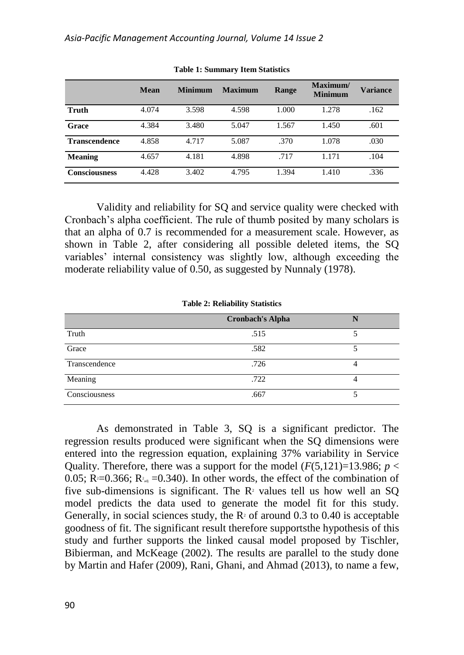|                      | Mean  | <b>Minimum</b> | <b>Maximum</b> | Range | Maximum/<br><b>Minimum</b> | <b>Variance</b> |
|----------------------|-------|----------------|----------------|-------|----------------------------|-----------------|
|                      |       |                |                |       |                            |                 |
| Truth                | 4.074 | 3.598          | 4.598          | 1.000 | 1.278                      | .162            |
| Grace                | 4.384 | 3.480          | 5.047          | 1.567 | 1.450                      | .601            |
| <b>Transcendence</b> | 4.858 | 4.717          | 5.087          | .370  | 1.078                      | .030            |
| <b>Meaning</b>       | 4.657 | 4.181          | 4.898          | .717  | 1.171                      | .104            |
| <b>Consciousness</b> | 4.428 | 3.402          | 4.795          | 1.394 | 1.410                      | .336            |

**Table 1: Summary Item Statistics**

Validity and reliability for SQ and service quality were checked with Cronbach's alpha coefficient. The rule of thumb posited by many scholars is that an alpha of 0.7 is recommended for a measurement scale. However, as shown in Table 2, after considering all possible deleted items, the SQ variables' internal consistency was slightly low, although exceeding the moderate reliability value of 0.50, as suggested by Nunnaly (1978).

|               | $\tilde{\phantom{a}}$   |  |
|---------------|-------------------------|--|
|               | <b>Cronbach's Alpha</b> |  |
| Truth         | .515                    |  |
| Grace         | .582                    |  |
| Transcendence | .726                    |  |
| Meaning       | .722                    |  |
| Consciousness | .667                    |  |

**Table 2: Reliability Statistics**

As demonstrated in Table 3, SQ is a significant predictor. The regression results produced were significant when the SQ dimensions were entered into the regression equation, explaining 37% variability in Service Quality. Therefore, there was a support for the model  $(F(5,121)=13.986; p <$ 0.05;  $R = 0.366$ ;  $R_{\text{rad}} = 0.340$ ). In other words, the effect of the combination of five sub-dimensions is significant. The  $R<sup>2</sup>$  values tell us how well an SQ model predicts the data used to generate the model fit for this study. Generally, in social sciences study, the  $R<sup>2</sup>$  of around 0.3 to 0.40 is acceptable goodness of fit. The significant result therefore supportsthe hypothesis of this study and further supports the linked causal model proposed by Tischler, Bibierman, and McKeage (2002). The results are parallel to the study done by Martin and Hafer (2009), Rani, Ghani, and Ahmad (2013), to name a few,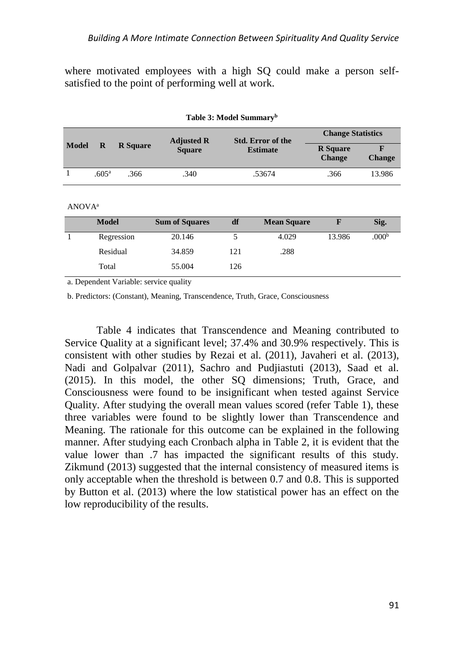where motivated employees with a high SQ could make a person selfsatisfied to the point of performing well at work.

|                    | $\mathbf R$       | <b>R</b> Square | <b>Adjusted R</b>     |        | <b>Std. Error of the</b> | <b>Change Statistics</b>         |                    |
|--------------------|-------------------|-----------------|-----------------------|--------|--------------------------|----------------------------------|--------------------|
| Model              |                   |                 | <b>Square</b>         |        | <b>Estimate</b>          | <b>R</b> Square<br><b>Change</b> | F<br><b>Change</b> |
| 1                  | .605 <sup>a</sup> | .366            | .340                  | .53674 |                          | .366                             | 13.986             |
|                    |                   |                 |                       |        |                          |                                  |                    |
| ANOVA <sup>a</sup> |                   |                 |                       |        |                          |                                  |                    |
|                    | <b>Model</b>      |                 | <b>Sum of Squares</b> | df     | <b>Mean Square</b>       | F                                | Sig.               |
|                    |                   | Regression      | 20.146                | 5      | 4.029                    | 13.986                           | .000 <sup>b</sup>  |
|                    | Residual          |                 | 34.859                | 121    | .288                     |                                  |                    |
|                    | Total             |                 | 55.004                | 126    |                          |                                  |                    |
|                    |                   |                 |                       |        |                          |                                  |                    |

**Table 3: Model Summary<sup>b</sup>**

a. Dependent Variable: service quality

b. Predictors: (Constant), Meaning, Transcendence, Truth, Grace, Consciousness

Table 4 indicates that Transcendence and Meaning contributed to Service Quality at a significant level; 37.4% and 30.9% respectively. This is consistent with other studies by Rezai et al. (2011), Javaheri et al. (2013), Nadi and Golpalvar (2011), Sachro and Pudjiastuti (2013), Saad et al. (2015). In this model, the other SQ dimensions; Truth, Grace, and Consciousness were found to be insignificant when tested against Service Quality. After studying the overall mean values scored (refer Table 1), these three variables were found to be slightly lower than Transcendence and Meaning. The rationale for this outcome can be explained in the following manner. After studying each Cronbach alpha in Table 2, it is evident that the value lower than .7 has impacted the significant results of this study. Zikmund (2013) suggested that the internal consistency of measured items is only acceptable when the threshold is between 0.7 and 0.8. This is supported by Button et al. (2013) where the low statistical power has an effect on the low reproducibility of the results.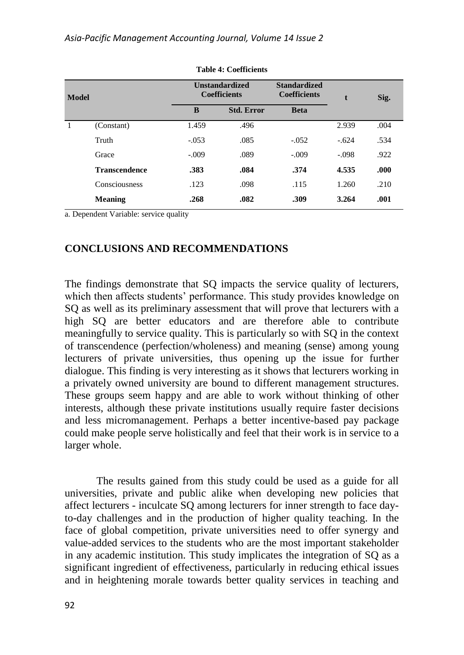| <b>Model</b> |                      |         | <b>Unstandardized</b><br><b>Coefficients</b> |             | t       | Sig. |
|--------------|----------------------|---------|----------------------------------------------|-------------|---------|------|
|              |                      | B       | <b>Std. Error</b>                            | <b>Beta</b> |         |      |
|              | (Constant)           | 1.459   | .496                                         |             | 2.939   | .004 |
|              | Truth                | $-.053$ | .085                                         | $-.052$     | $-.624$ | .534 |
|              | Grace                | $-.009$ | .089                                         | $-.009$     | $-.098$ | .922 |
|              | <b>Transcendence</b> | .383    | .084                                         | .374        | 4.535   | .000 |
|              | Consciousness        | .123    | .098                                         | .115        | 1.260   | .210 |
|              | <b>Meaning</b>       | .268    | .082                                         | .309        | 3.264   | .001 |

**Table 4: Coefficients**

a. Dependent Variable: service quality

## **CONCLUSIONS AND RECOMMENDATIONS**

The findings demonstrate that SQ impacts the service quality of lecturers, which then affects students' performance. This study provides knowledge on SQ as well as its preliminary assessment that will prove that lecturers with a high SQ are better educators and are therefore able to contribute meaningfully to service quality. This is particularly so with SQ in the context of transcendence (perfection/wholeness) and meaning (sense) among young lecturers of private universities, thus opening up the issue for further dialogue. This finding is very interesting as it shows that lecturers working in a privately owned university are bound to different management structures. These groups seem happy and are able to work without thinking of other interests, although these private institutions usually require faster decisions and less micromanagement. Perhaps a better incentive-based pay package could make people serve holistically and feel that their work is in service to a larger whole.

The results gained from this study could be used as a guide for all universities, private and public alike when developing new policies that affect lecturers - inculcate SQ among lecturers for inner strength to face dayto-day challenges and in the production of higher quality teaching. In the face of global competition, private universities need to offer synergy and value-added services to the students who are the most important stakeholder in any academic institution. This study implicates the integration of SQ as a significant ingredient of effectiveness, particularly in reducing ethical issues and in heightening morale towards better quality services in teaching and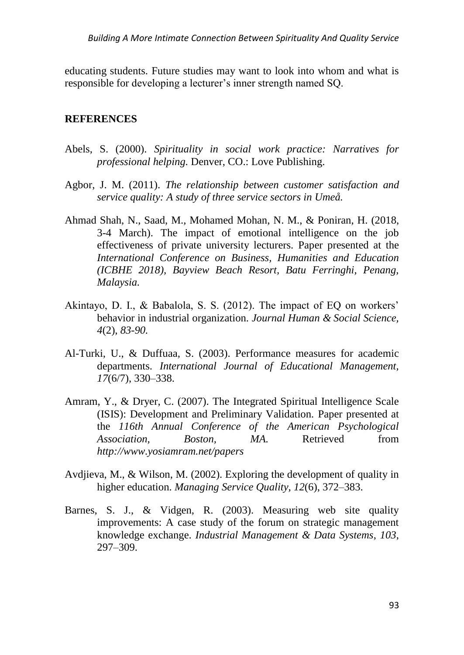educating students. Future studies may want to look into whom and what is responsible for developing a lecturer's inner strength named SQ.

## **REFERENCES**

- Abels, S. (2000). *Spirituality in social work practice: Narratives for professional helping.* Denver, CO.: Love Publishing.
- Agbor, J. M. (2011). *The relationship between customer satisfaction and service quality: A study of three service sectors in Umeå.*
- Ahmad Shah, N., Saad, M., Mohamed Mohan, N. M., & Poniran, H. (2018, 3-4 March). The impact of emotional intelligence on the job effectiveness of private university lecturers. Paper presented at the *International Conference on Business, Humanities and Education (ICBHE 2018), Bayview Beach Resort, Batu Ferringhi, Penang, Malaysia.*
- Akintayo, D. I., & Babalola, S. S. (2012). The impact of EQ on workers' behavior in industrial organization. *Journal Human & Social Science, 4*(2), *83-90.*
- Al-Turki, U., & Duffuaa, S. (2003). Performance measures for academic departments. *International Journal of Educational Management, 17*(6/7), 330–338.
- Amram, Y., & Dryer, C. (2007). The Integrated Spiritual Intelligence Scale (ISIS): Development and Preliminary Validation*.* Paper presented at the *116th Annual Conference of the American Psychological Association, Boston, MA.* Retrieved from *http://www.yosiamram.net/papers*
- Avdjieva, M., & Wilson, M. (2002). Exploring the development of quality in higher education. *Managing Service Quality, 12*(6), 372–383.
- Barnes, S. J., & Vidgen, R. (2003). Measuring web site quality improvements: A case study of the forum on strategic management knowledge exchange. *Industrial Management & Data Systems*, *103*, 297–309.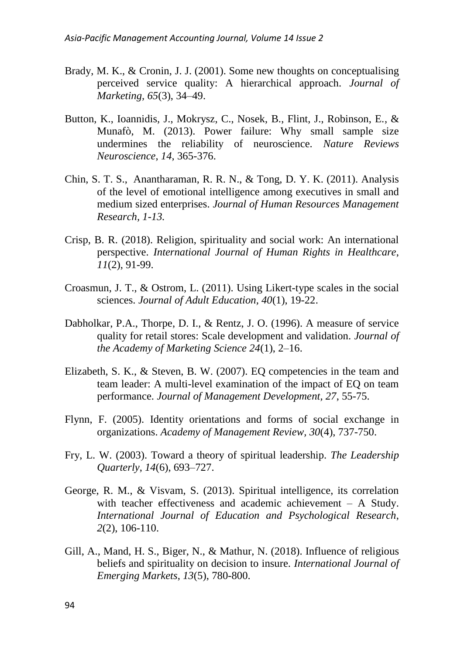- Brady, M. K., & Cronin, J. J. (2001). Some new thoughts on conceptualising perceived service quality: A hierarchical approach. *Journal of Marketing, 65*(3), 34–49.
- Button, K., Ioannidis, J., Mokrysz, C., Nosek, B., Flint, J., Robinson, E., & Munafò, M. (2013). Power failure: Why small sample size undermines the reliability of neuroscience. *Nature Reviews Neuroscience*, *14*, 365-376.
- Chin, S. T. S., Anantharaman, R. R. N., & Tong, D. Y. K. (2011). Analysis of the level of emotional intelligence among executives in small and medium sized enterprises. *Journal of Human Resources Management Research, 1-13.*
- Crisp, B. R. (2018). Religion, spirituality and social work: An international perspective. *International Journal of Human Rights in Healthcare*, *11*(2), 91-99.
- Croasmun, J. T., & Ostrom, L. (2011). Using Likert-type scales in the social sciences. *Journal of Adult Education, 40*(1), 19-22.
- Dabholkar, P.A., Thorpe, D. I., & Rentz, J. O. (1996). A measure of service quality for retail stores: Scale development and validation. *Journal of the Academy of Marketing Science 24*(1), 2–16.
- Elizabeth, S. K., & Steven, B. W. (2007). EQ competencies in the team and team leader: A multi-level examination of the impact of EQ on team performance. *Journal of Management Development, 27*, 55-75.
- Flynn, F. (2005). Identity orientations and forms of social exchange in organizations. *Academy of Management Review, 30*(4), 737-750.
- Fry, L. W. (2003). Toward a theory of spiritual leadership. *The Leadership Quarterly*, *14*(6), 693–727.
- George, R. M., & Visvam, S. (2013). Spiritual intelligence, its correlation with teacher effectiveness and academic achievement – A Study. *International Journal of Education and Psychological Research*, *2*(2), 106-110.
- Gill, A., Mand, H. S., Biger, N., & Mathur, N. (2018). Influence of religious beliefs and spirituality on decision to insure. *International Journal of Emerging Markets*, *13*(5), 780-800.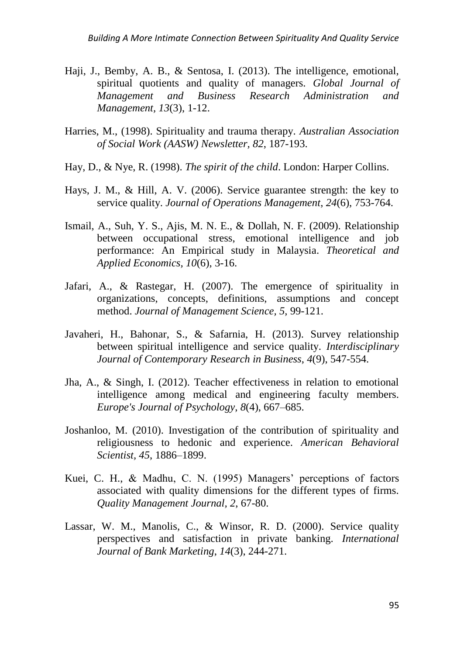- Haji, J., Bemby, A. B., & Sentosa, I. (2013). The intelligence, emotional, spiritual quotients and quality of managers. *Global Journal of Management and Business Research Administration and Management, 13*(3), 1-12.
- Harries, M., (1998). Spirituality and trauma therapy. *Australian Association of Social Work (AASW) Newsletter, 82*, 187-193.
- Hay, D., & Nye, R. (1998). *The spirit of the child*. London: Harper Collins.
- Hays, J. M., & Hill, A. V. (2006). Service guarantee strength: the key to service quality. *Journal of Operations Management*, *24*(6), 753-764.
- Ismail, A., Suh, Y. S., Ajis, M. N. E., & Dollah, N. F. (2009). Relationship between occupational stress, emotional intelligence and job performance: An Empirical study in Malaysia. *Theoretical and Applied Economics, 10*(6), 3-16.
- Jafari, A., & Rastegar, H. (2007). The emergence of spirituality in organizations, concepts, definitions, assumptions and concept method. *Journal of Management Science, 5*, 99-121.
- Javaheri, H., Bahonar, S., & Safarnia, H. (2013). Survey relationship between spiritual intelligence and service quality. *Interdisciplinary Journal of Contemporary Research in Business*, *4*(9), 547-554.
- Jha, A., & Singh, I. (2012). Teacher effectiveness in relation to emotional intelligence among medical and engineering faculty members. *Europe's Journal of Psychology*, *8*(4), 667–685.
- Joshanloo, M. (2010). Investigation of the contribution of spirituality and religiousness to hedonic and experience. *American Behavioral Scientist, 45*, 1886–1899.
- Kuei, C. H., & Madhu, C. N. (1995) Managers' perceptions of factors associated with quality dimensions for the different types of firms. *Quality Management Journal, 2*, 67-80.
- Lassar, W. M., Manolis, C., & Winsor, R. D. (2000). Service quality perspectives and satisfaction in private banking. *International Journal of Bank Marketing*, *14*(3), 244-271.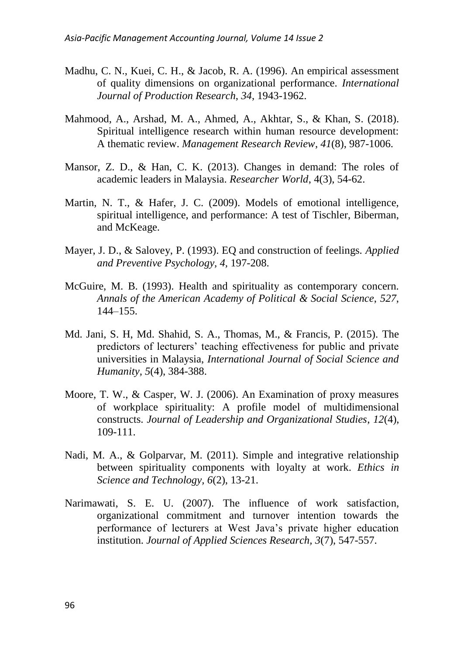- Madhu, C. N., Kuei, C. H., & Jacob, R. A. (1996). An empirical assessment of quality dimensions on organizational performance. *International Journal of Production Research*, *34*, 1943-1962.
- Mahmood, A., Arshad, M. A., Ahmed, A., Akhtar, S., & Khan, S. (2018). Spiritual intelligence research within human resource development: A thematic review. *Management Research Review*, *41*(8), 987-1006.
- Mansor, Z. D., & Han, C. K. (2013). Changes in demand: The roles of academic leaders in Malaysia. *Researcher World*, 4(3), 54-62.
- Martin, N. T., & Hafer, J. C. (2009). Models of emotional intelligence, spiritual intelligence, and performance: A test of Tischler, Biberman, and McKeage.
- Mayer, J. D., & Salovey, P. (1993). EQ and construction of feelings. *Applied and Preventive Psychology, 4,* 197-208.
- McGuire, M. B. (1993). Health and spirituality as contemporary concern. *Annals of the American Academy of Political & Social Science*, *527*, 144–155.
- Md. Jani, S. H, Md. Shahid, S. A., Thomas, M., & Francis, P. (2015). The predictors of lecturers' teaching effectiveness for public and private universities in Malaysia, *International Journal of Social Science and Humanity, 5*(4), 384-388.
- Moore, T. W., & Casper, W. J. (2006). An Examination of proxy measures of workplace spirituality: A profile model of multidimensional constructs. *Journal of Leadership and Organizational Studies*, *12*(4), 109-111.
- Nadi, M. A., & Golparvar, M. (2011). Simple and integrative relationship between spirituality components with loyalty at work. *Ethics in Science and Technology, 6*(2), 13-21.
- Narimawati, S. E. U. (2007). The influence of work satisfaction, organizational commitment and turnover intention towards the performance of lecturers at West Java's private higher education institution. *Journal of Applied Sciences Research, 3*(7), 547-557.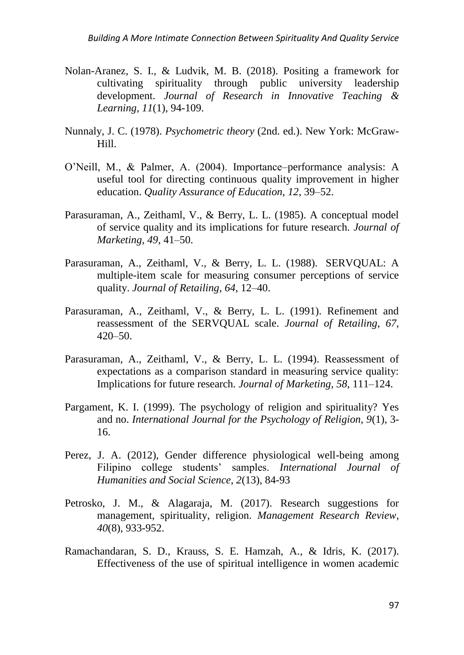- Nolan-Aranez, S. I., & Ludvik, M. B. (2018). Positing a framework for cultivating spirituality through public university leadership development. *Journal of Research in Innovative Teaching & Learning*, *11*(1), 94-109.
- Nunnaly, J. C. (1978). *Psychometric theory* (2nd. ed.). New York: McGraw-Hill.
- O'Neill, M., & Palmer, A. (2004). Importance–performance analysis: A useful tool for directing continuous quality improvement in higher education. *Quality Assurance of Education*, *12*, 39–52.
- Parasuraman, A., Zeithaml, V., & Berry, L. L. (1985). A conceptual model of service quality and its implications for future research. *Journal of Marketing, 49*, 41–50.
- Parasuraman, A., Zeithaml, V., & Berry, L. L. (1988). SERVQUAL: A multiple-item scale for measuring consumer perceptions of service quality. *Journal of Retailing*, *64*, 12–40.
- Parasuraman, A., Zeithaml, V., & Berry, L. L. (1991). Refinement and reassessment of the SERVQUAL scale. *Journal of Retailing*, *67*, 420–50.
- Parasuraman, A., Zeithaml, V., & Berry, L. L. (1994). Reassessment of expectations as a comparison standard in measuring service quality: Implications for future research*. Journal of Marketing*, *58*, 111–124.
- Pargament, K. I. (1999). The psychology of religion and spirituality? Yes and no. *International Journal for the Psychology of Religion, 9*(1), 3- 16.
- Perez, J. A. (2012), Gender difference physiological well-being among Filipino college students' samples. *International Journal of Humanities and Social Science*, *2*(13), 84-93
- Petrosko, J. M., & Alagaraja, M. (2017). Research suggestions for management, spirituality, religion. *Management Research Review*, *40*(8), 933-952.
- Ramachandaran, S. D., Krauss, S. E. Hamzah, A., & Idris, K. (2017). Effectiveness of the use of spiritual intelligence in women academic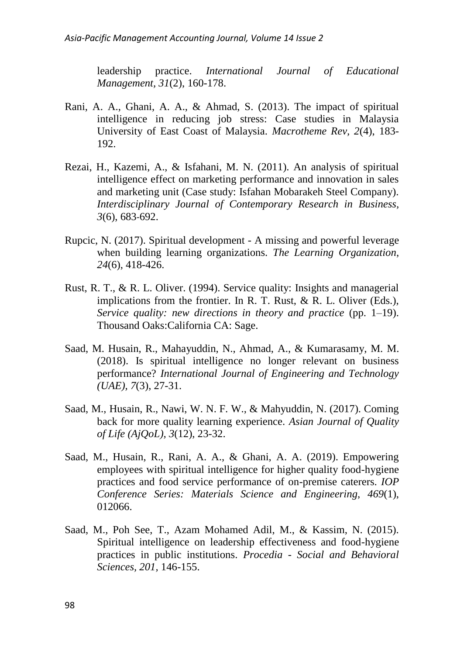leadership practice. *International Journal of Educational Management, 31*(2), 160-178.

- Rani, A. A., Ghani, A. A., & Ahmad, S. (2013). The impact of spiritual intelligence in reducing job stress: Case studies in Malaysia University of East Coast of Malaysia. *Macrotheme Rev, 2*(4), 183- 192.
- Rezai, H., Kazemi, A., & Isfahani, M. N. (2011). An analysis of spiritual intelligence effect on marketing performance and innovation in sales and marketing unit (Case study: Isfahan Mobarakeh Steel Company). *Interdisciplinary Journal of Contemporary Research in Business, 3*(6), 683-692.
- Rupcic, N. (2017). Spiritual development A missing and powerful leverage when building learning organizations. *The Learning Organization*, *24*(6), 418-426.
- Rust, R. T., & R. L. Oliver. (1994). Service quality: Insights and managerial implications from the frontier. In R. T. Rust, & R. L. Oliver (Eds.), *Service quality: new directions in theory and practice* (pp. 1–19). Thousand Oaks:California CA: Sage.
- Saad, M. Husain, R., Mahayuddin, N., Ahmad, A., & Kumarasamy, M. M. (2018). Is spiritual intelligence no longer relevant on business performance? *International Journal of Engineering and Technology (UAE), 7*(3), 27-31.
- Saad, M., Husain, R., Nawi, W. N. F. W., & Mahyuddin, N. (2017). Coming back for more quality learning experience. *Asian Journal of Quality of Life (AjQoL), 3*(12), 23-32.
- Saad, M., Husain, R., Rani, A. A., & Ghani, A. A. (2019). Empowering employees with spiritual intelligence for higher quality food-hygiene practices and food service performance of on-premise caterers. *IOP Conference Series: Materials Science and Engineering*, *469*(1), 012066.
- Saad, M., Poh See, T., Azam Mohamed Adil, M., & Kassim, N. (2015). Spiritual intelligence on leadership effectiveness and food-hygiene practices in public institutions. *Procedia - Social and Behavioral Sciences, 201,* 146-155.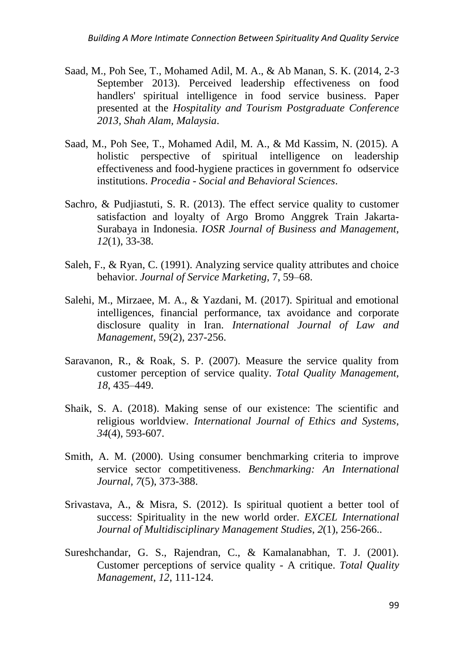- Saad, M., Poh See, T., Mohamed Adil, M. A., & Ab Manan, S. K. (2014, 2-3 September 2013). Perceived leadership effectiveness on food handlers' spiritual intelligence in food service business. Paper presented at the *Hospitality and Tourism Postgraduate Conference 2013, Shah Alam, Malaysia*.
- Saad, M., Poh See, T., Mohamed Adil, M. A., & Md Kassim, N. (2015). A holistic perspective of spiritual intelligence on leadership effectiveness and food-hygiene practices in government fo odservice institutions. *Procedia - Social and Behavioral Sciences*.
- Sachro, & Pudjiastuti, S. R. (2013). The effect service quality to customer satisfaction and loyalty of Argo Bromo Anggrek Train Jakarta-Surabaya in Indonesia. *IOSR Journal of Business and Management, 12*(1), 33-38.
- Saleh, F., & Ryan, C. (1991). Analyzing service quality attributes and choice behavior. *Journal of Service Marketing*, 7, 59–68.
- Salehi, M., Mirzaee, M. A., & Yazdani, M. (2017). Spiritual and emotional intelligences, financial performance, tax avoidance and corporate disclosure quality in Iran. *International Journal of Law and Management*, 59(2), 237-256.
- Saravanon, R., & Roak, S. P. (2007). Measure the service quality from customer perception of service quality. *Total Quality Management, 18*, 435–449.
- Shaik, S. A. (2018). Making sense of our existence: The scientific and religious worldview. *International Journal of Ethics and Systems*, *34*(4), 593-607.
- Smith, A. M. (2000). Using consumer benchmarking criteria to improve service sector competitiveness. *Benchmarking: An International Journal, 7*(5), 373-388.
- Srivastava, A., & Misra, S. (2012). Is spiritual quotient a better tool of success: Spirituality in the new world order. *EXCEL International Journal of Multidisciplinary Management Studies*, *2*(1), 256-266..
- Sureshchandar, G. S., Rajendran, C., & Kamalanabhan, T. J. (2001). Customer perceptions of service quality - A critique. *Total Quality Management*, *12*, 111-124.